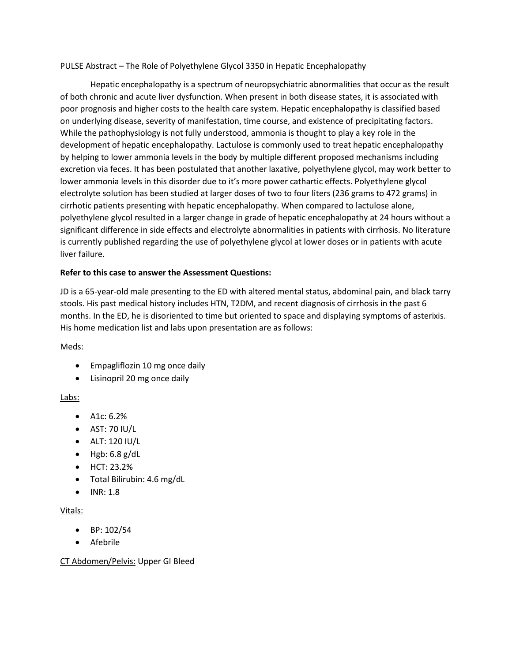PULSE Abstract – The Role of Polyethylene Glycol 3350 in Hepatic Encephalopathy

Hepatic encephalopathy is a spectrum of neuropsychiatric abnormalities that occur as the result of both chronic and acute liver dysfunction. When present in both disease states, it is associated with poor prognosis and higher costs to the health care system. Hepatic encephalopathy is classified based on underlying disease, severity of manifestation, time course, and existence of precipitating factors. While the pathophysiology is not fully understood, ammonia is thought to play a key role in the development of hepatic encephalopathy. Lactulose is commonly used to treat hepatic encephalopathy by helping to lower ammonia levels in the body by multiple different proposed mechanisms including excretion via feces. It has been postulated that another laxative, polyethylene glycol, may work better to lower ammonia levels in this disorder due to it's more power cathartic effects. Polyethylene glycol electrolyte solution has been studied at larger doses of two to four liters (236 grams to 472 grams) in cirrhotic patients presenting with hepatic encephalopathy. When compared to lactulose alone, polyethylene glycol resulted in a larger change in grade of hepatic encephalopathy at 24 hours without a significant difference in side effects and electrolyte abnormalities in patients with cirrhosis. No literature is currently published regarding the use of polyethylene glycol at lower doses or in patients with acute liver failure.

# **Refer to this case to answer the Assessment Questions:**

JD is a 65-year-old male presenting to the ED with altered mental status, abdominal pain, and black tarry stools. His past medical history includes HTN, T2DM, and recent diagnosis of cirrhosis in the past 6 months. In the ED, he is disoriented to time but oriented to space and displaying symptoms of asterixis. His home medication list and labs upon presentation are as follows:

# Meds:

- Empagliflozin 10 mg once daily
- Lisinopril 20 mg once daily

# Labs:

- A1c: 6.2%
- AST: 70 IU/L
- ALT: 120 IU/L
- $\bullet$  Hgb: 6.8 g/dL
- HCT: 23.2%
- Total Bilirubin: 4.6 mg/dL
- INR: 1.8

# Vitals:

- BP: 102/54
- Afebrile

CT Abdomen/Pelvis: Upper GI Bleed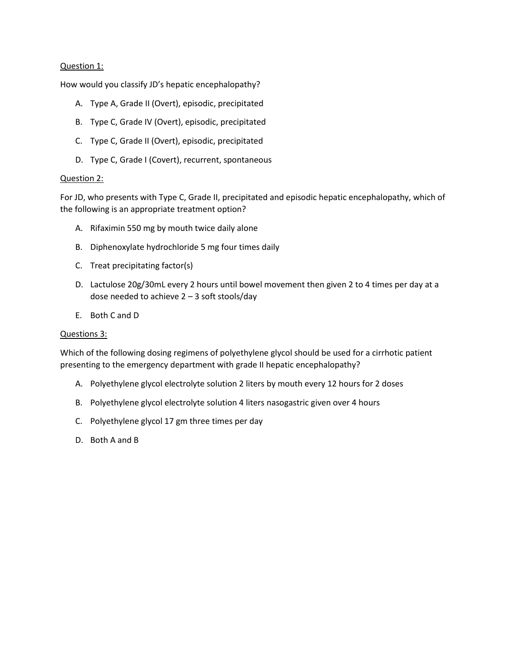# Question 1:

How would you classify JD's hepatic encephalopathy?

- A. Type A, Grade II (Overt), episodic, precipitated
- B. Type C, Grade IV (Overt), episodic, precipitated
- C. Type C, Grade II (Overt), episodic, precipitated
- D. Type C, Grade I (Covert), recurrent, spontaneous

#### Question 2:

For JD, who presents with Type C, Grade II, precipitated and episodic hepatic encephalopathy, which of the following is an appropriate treatment option?

- A. Rifaximin 550 mg by mouth twice daily alone
- B. Diphenoxylate hydrochloride 5 mg four times daily
- C. Treat precipitating factor(s)
- D. Lactulose 20g/30mL every 2 hours until bowel movement then given 2 to 4 times per day at a dose needed to achieve 2 – 3 soft stools/day
- E. Both C and D

#### Questions 3:

Which of the following dosing regimens of polyethylene glycol should be used for a cirrhotic patient presenting to the emergency department with grade II hepatic encephalopathy?

- A. Polyethylene glycol electrolyte solution 2 liters by mouth every 12 hours for 2 doses
- B. Polyethylene glycol electrolyte solution 4 liters nasogastric given over 4 hours
- C. Polyethylene glycol 17 gm three times per day
- D. Both A and B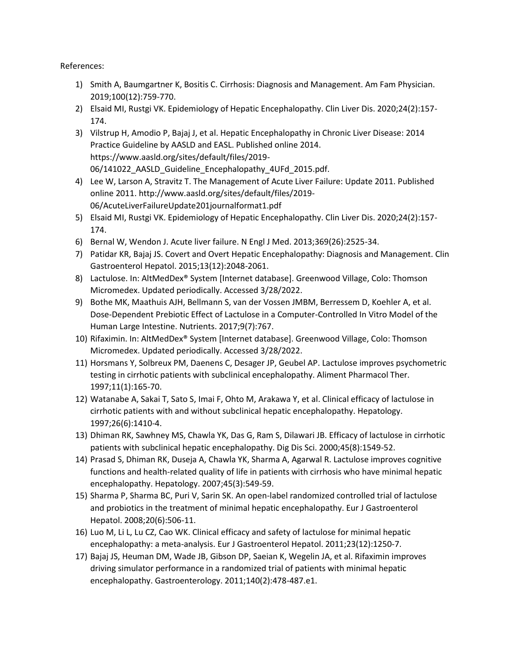References:

- 1) Smith A, Baumgartner K, Bositis C. Cirrhosis: Diagnosis and Management. Am Fam Physician. 2019;100(12):759-770.
- 2) Elsaid MI, Rustgi VK. Epidemiology of Hepatic Encephalopathy. Clin Liver Dis. 2020;24(2):157- 174.
- 3) Vilstrup H, Amodio P, Bajaj J, et al. Hepatic Encephalopathy in Chronic Liver Disease: 2014 Practice Guideline by AASLD and EASL. Published online 2014. https://www.aasld.org/sites/default/files/2019- 06/141022\_AASLD\_Guideline\_Encephalopathy\_4UFd\_2015.pdf.
- 4) Lee W, Larson A, Stravitz T. The Management of Acute Liver Failure: Update 2011. Published online 2011. http://www.aasld.org/sites/default/files/2019- 06/AcuteLiverFailureUpdate201journalformat1.pdf
- 5) Elsaid MI, Rustgi VK. Epidemiology of Hepatic Encephalopathy. Clin Liver Dis. 2020;24(2):157- 174.
- 6) Bernal W, Wendon J. Acute liver failure. N Engl J Med. 2013;369(26):2525-34.
- 7) Patidar KR, Bajaj JS. Covert and Overt Hepatic Encephalopathy: Diagnosis and Management. Clin Gastroenterol Hepatol. 2015;13(12):2048-2061.
- 8) Lactulose. In: AltMedDex® System [Internet database]. Greenwood Village, Colo: Thomson Micromedex. Updated periodically. Accessed 3/28/2022.
- 9) Bothe MK, Maathuis AJH, Bellmann S, van der Vossen JMBM, Berressem D, Koehler A, et al. Dose-Dependent Prebiotic Effect of Lactulose in a Computer-Controlled In Vitro Model of the Human Large Intestine. Nutrients. 2017;9(7):767.
- 10) Rifaximin. In: AltMedDex® System [Internet database]. Greenwood Village, Colo: Thomson Micromedex. Updated periodically. Accessed 3/28/2022.
- 11) Horsmans Y, Solbreux PM, Daenens C, Desager JP, Geubel AP. Lactulose improves psychometric testing in cirrhotic patients with subclinical encephalopathy. Aliment Pharmacol Ther. 1997;11(1):165-70.
- 12) Watanabe A, Sakai T, Sato S, Imai F, Ohto M, Arakawa Y, et al. Clinical efficacy of lactulose in cirrhotic patients with and without subclinical hepatic encephalopathy. Hepatology. 1997;26(6):1410-4.
- 13) Dhiman RK, Sawhney MS, Chawla YK, Das G, Ram S, Dilawari JB. Efficacy of lactulose in cirrhotic patients with subclinical hepatic encephalopathy. Dig Dis Sci. 2000;45(8):1549-52.
- 14) Prasad S, Dhiman RK, Duseja A, Chawla YK, Sharma A, Agarwal R. Lactulose improves cognitive functions and health-related quality of life in patients with cirrhosis who have minimal hepatic encephalopathy. Hepatology. 2007;45(3):549-59.
- 15) Sharma P, Sharma BC, Puri V, Sarin SK. An open-label randomized controlled trial of lactulose and probiotics in the treatment of minimal hepatic encephalopathy. Eur J Gastroenterol Hepatol. 2008;20(6):506-11.
- 16) Luo M, Li L, Lu CZ, Cao WK. Clinical efficacy and safety of lactulose for minimal hepatic encephalopathy: a meta-analysis. Eur J Gastroenterol Hepatol. 2011;23(12):1250-7.
- 17) Bajaj JS, Heuman DM, Wade JB, Gibson DP, Saeian K, Wegelin JA, et al. Rifaximin improves driving simulator performance in a randomized trial of patients with minimal hepatic encephalopathy. Gastroenterology. 2011;140(2):478-487.e1.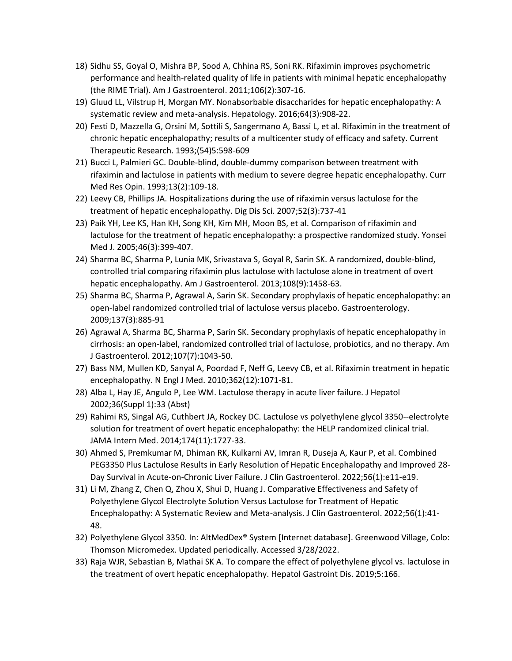- 18) Sidhu SS, Goyal O, Mishra BP, Sood A, Chhina RS, Soni RK. Rifaximin improves psychometric performance and health-related quality of life in patients with minimal hepatic encephalopathy (the RIME Trial). Am J Gastroenterol. 2011;106(2):307-16.
- 19) Gluud LL, Vilstrup H, Morgan MY. Nonabsorbable disaccharides for hepatic encephalopathy: A systematic review and meta-analysis. Hepatology. 2016;64(3):908-22.
- 20) Festi D, Mazzella G, Orsini M, Sottili S, Sangermano A, Bassi L, et al. Rifaximin in the treatment of chronic hepatic encephalopathy; results of a multicenter study of efficacy and safety. Current Therapeutic Research. 1993;(54)5:598-609
- 21) Bucci L, Palmieri GC. Double-blind, double-dummy comparison between treatment with rifaximin and lactulose in patients with medium to severe degree hepatic encephalopathy. Curr Med Res Opin. 1993;13(2):109-18.
- 22) Leevy CB, Phillips JA. Hospitalizations during the use of rifaximin versus lactulose for the treatment of hepatic encephalopathy. Dig Dis Sci. 2007;52(3):737-41
- 23) Paik YH, Lee KS, Han KH, Song KH, Kim MH, Moon BS, et al. Comparison of rifaximin and lactulose for the treatment of hepatic encephalopathy: a prospective randomized study. Yonsei Med J. 2005;46(3):399-407.
- 24) Sharma BC, Sharma P, Lunia MK, Srivastava S, Goyal R, Sarin SK. A randomized, double-blind, controlled trial comparing rifaximin plus lactulose with lactulose alone in treatment of overt hepatic encephalopathy. Am J Gastroenterol. 2013;108(9):1458-63.
- 25) Sharma BC, Sharma P, Agrawal A, Sarin SK. Secondary prophylaxis of hepatic encephalopathy: an open-label randomized controlled trial of lactulose versus placebo. Gastroenterology. 2009;137(3):885-91
- 26) Agrawal A, Sharma BC, Sharma P, Sarin SK. Secondary prophylaxis of hepatic encephalopathy in cirrhosis: an open-label, randomized controlled trial of lactulose, probiotics, and no therapy. Am J Gastroenterol. 2012;107(7):1043-50.
- 27) Bass NM, Mullen KD, Sanyal A, Poordad F, Neff G, Leevy CB, et al. Rifaximin treatment in hepatic encephalopathy. N Engl J Med. 2010;362(12):1071-81.
- 28) Alba L, Hay JE, Angulo P, Lee WM. Lactulose therapy in acute liver failure. J Hepatol 2002;36(Suppl 1):33 (Abst)
- 29) Rahimi RS, Singal AG, Cuthbert JA, Rockey DC. Lactulose vs polyethylene glycol 3350--electrolyte solution for treatment of overt hepatic encephalopathy: the HELP randomized clinical trial. JAMA Intern Med. 2014;174(11):1727-33.
- 30) Ahmed S, Premkumar M, Dhiman RK, Kulkarni AV, Imran R, Duseja A, Kaur P, et al. Combined PEG3350 Plus Lactulose Results in Early Resolution of Hepatic Encephalopathy and Improved 28- Day Survival in Acute-on-Chronic Liver Failure. J Clin Gastroenterol. 2022;56(1):e11-e19.
- 31) Li M, Zhang Z, Chen Q, Zhou X, Shui D, Huang J. Comparative Effectiveness and Safety of Polyethylene Glycol Electrolyte Solution Versus Lactulose for Treatment of Hepatic Encephalopathy: A Systematic Review and Meta-analysis. J Clin Gastroenterol. 2022;56(1):41- 48.
- 32) Polyethylene Glycol 3350. In: AltMedDex® System [Internet database]. Greenwood Village, Colo: Thomson Micromedex. Updated periodically. Accessed 3/28/2022.
- 33) Raja WJR, Sebastian B, Mathai SK A. To compare the effect of polyethylene glycol vs. lactulose in the treatment of overt hepatic encephalopathy. Hepatol Gastroint Dis. 2019;5:166.